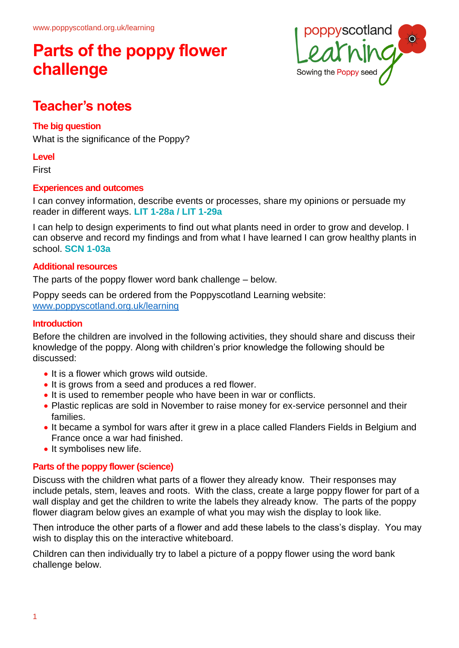

## **Teacher's notes**

## **The big question**

What is the significance of the Poppy?

### **Level**

**First** 

### **Experiences and outcomes**

I can convey information, describe events or processes, share my opinions or persuade my reader in different ways. **LIT 1-28a / LIT 1-29a**

I can help to design experiments to find out what plants need in order to grow and develop. I can observe and record my findings and from what I have learned I can grow healthy plants in school. **SCN 1-03a**

### **Additional resources**

The parts of the poppy flower word bank challenge – below.

Poppy seeds can be ordered from the Poppyscotland Learning website: [www.poppyscotland.org.uk/learning](http://www.poppyscotland.org.uk/learning)

#### **Introduction**

Before the children are involved in the following activities, they should share and discuss their knowledge of the poppy. Along with children's prior knowledge the following should be discussed:

- It is a flower which grows wild outside.
- It is grows from a seed and produces a red flower.
- It is used to remember people who have been in war or conflicts.
- Plastic replicas are sold in November to raise money for ex-service personnel and their families.
- It became a symbol for wars after it grew in a place called Flanders Fields in Belgium and France once a war had finished.
- It symbolises new life.

### **Parts of the poppy flower (science)**

Discuss with the children what parts of a flower they already know. Their responses may include petals, stem, leaves and roots. With the class, create a large poppy flower for part of a wall display and get the children to write the labels they already know. The parts of the poppy flower diagram below gives an example of what you may wish the display to look like.

Then introduce the other parts of a flower and add these labels to the class's display. You may wish to display this on the interactive whiteboard.

Children can then individually try to label a picture of a poppy flower using the word bank challenge below.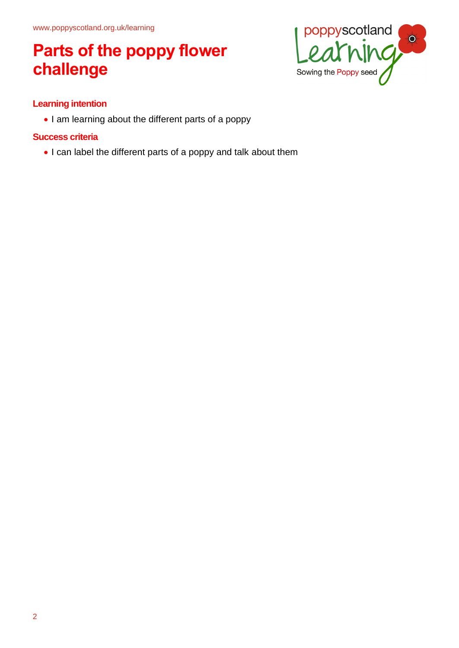

## **Learning intention**

• I am learning about the different parts of a poppy

### **Success criteria**

• I can label the different parts of a poppy and talk about them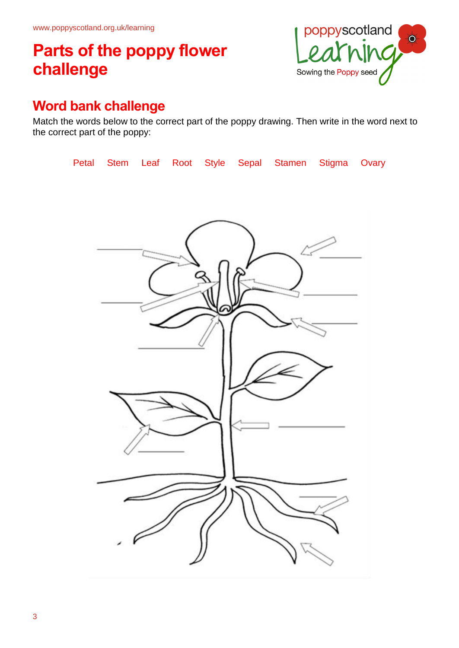

## **Word bank challenge**

Match the words below to the correct part of the poppy drawing. Then write in the word next to the correct part of the poppy:

|  |  |  | Petal Stem Leaf Root Style Sepal Stamen Stigma Ovary |  |
|--|--|--|------------------------------------------------------|--|
|  |  |  |                                                      |  |
|  |  |  |                                                      |  |
|  |  |  |                                                      |  |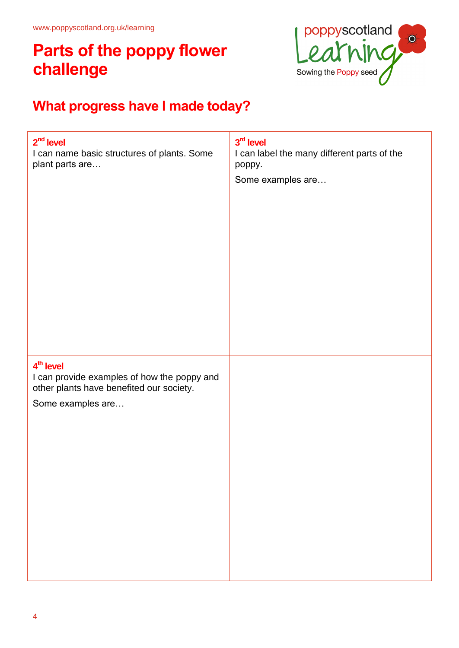

# **What progress have I made today?**

| $2nd$ level<br>I can name basic structures of plants. Some<br>plant parts are                                                         | 3rd level<br>I can label the many different parts of the<br>poppy.<br>Some examples are |
|---------------------------------------------------------------------------------------------------------------------------------------|-----------------------------------------------------------------------------------------|
| 4 <sup>th</sup> level<br>I can provide examples of how the poppy and<br>other plants have benefited our society.<br>Some examples are |                                                                                         |